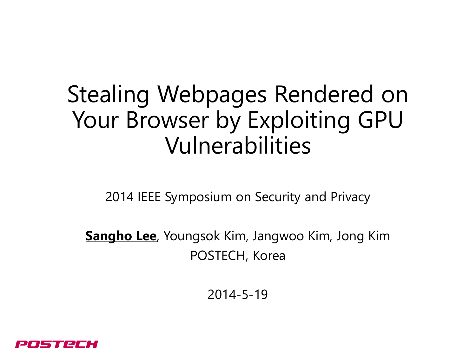## Stealing Webpages Rendered on Your Browser by Exploiting GPU Vulnerabilities

2014 IEEE Symposium on Security and Privacy

**Sangho Lee**, Youngsok Kim, Jangwoo Kim, Jong Kim POSTECH, Korea

2014-5-19

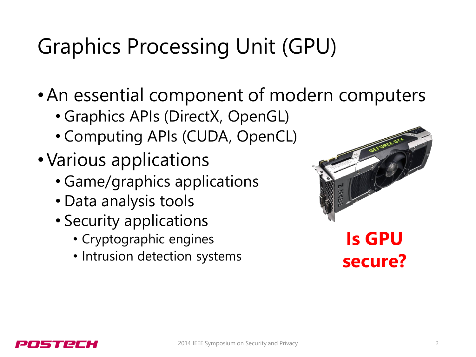# Graphics Processing Unit (GPU)

- •An essential component of modern computers
	- Graphics APIs (DirectX, OpenGL)
	- Computing APIs (CUDA, OpenCL)
- •Various applications
	- Game/graphics applications
	- Data analysis tools
	- Security applications
		- Cryptographic engines
		- Intrusion detection systems



**Is GPU secure?**

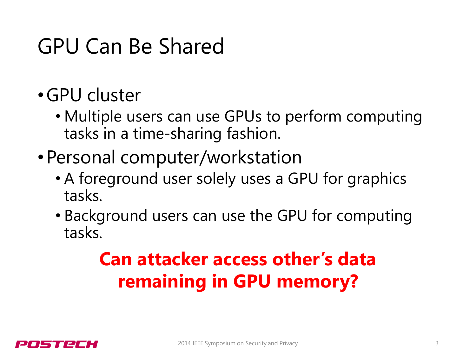#### GPU Can Be Shared

#### •GPU cluster

- Multiple users can use GPUs to perform computing tasks in a time-sharing fashion.
- •Personal computer/workstation
	- A foreground user solely uses a GPU for graphics tasks.
	- Background users can use the GPU for computing tasks.

#### **Can attacker access other's data remaining in GPU memory?**

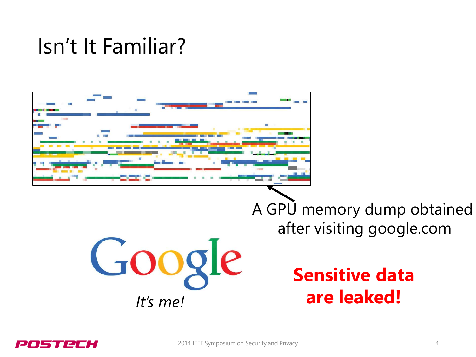#### Isn't It Familiar?



A GPU memory dump obtained after visiting google.com



**Sensitive data are leaked!**

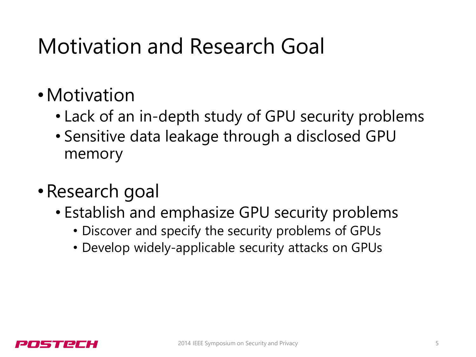#### Motivation and Research Goal

- Motivation
	- Lack of an in-depth study of GPU security problems
	- Sensitive data leakage through a disclosed GPU memory
- •Research goal
	- Establish and emphasize GPU security problems
		- Discover and specify the security problems of GPUs
		- Develop widely-applicable security attacks on GPUs

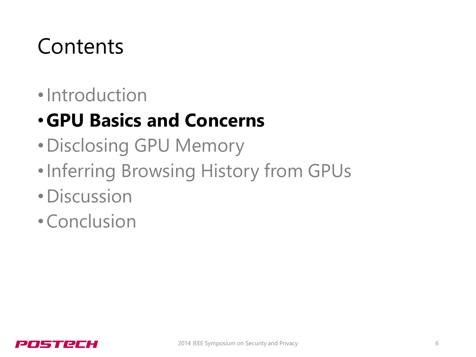#### **Contents**

•Introduction

#### •**GPU Basics and Concerns**

- •Disclosing GPU Memory
- •Inferring Browsing History from GPUs
- •Discussion
- •Conclusion

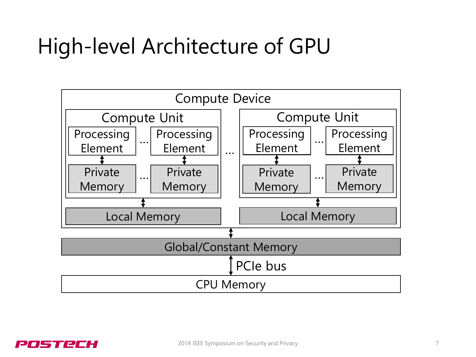#### High-level Architecture of GPU



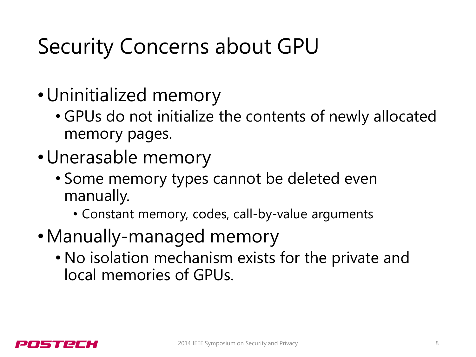# Security Concerns about GPU

- •Uninitialized memory
	- GPUs do not initialize the contents of newly allocated memory pages.
- •Unerasable memory
	- Some memory types cannot be deleted even manually.
		- Constant memory, codes, call-by-value arguments
- •Manually-managed memory
	- No isolation mechanism exists for the private and local memories of GPUs.

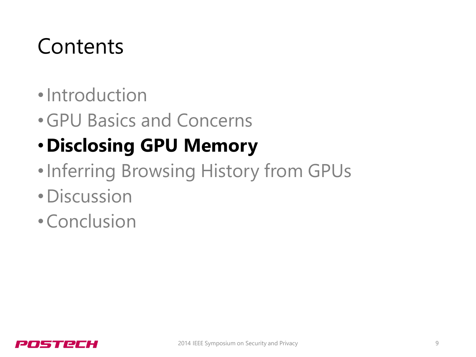### **Contents**

- •Introduction
- •GPU Basics and Concerns
- •**Disclosing GPU Memory**
- •Inferring Browsing History from GPUs
- •Discussion
- •Conclusion

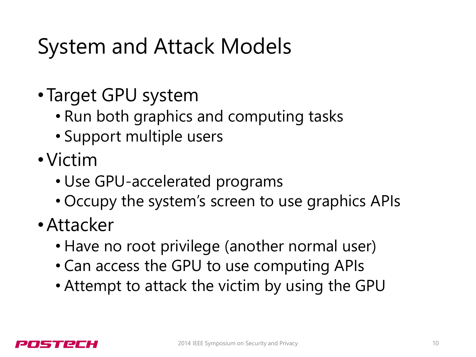#### System and Attack Models

- •Target GPU system
	- Run both graphics and computing tasks
	- Support multiple users
- •Victim
	- Use GPU-accelerated programs
	- Occupy the system's screen to use graphics APIs
- •Attacker
	- Have no root privilege (another normal user)
	- Can access the GPU to use computing APIs
	- Attempt to attack the victim by using the GPU

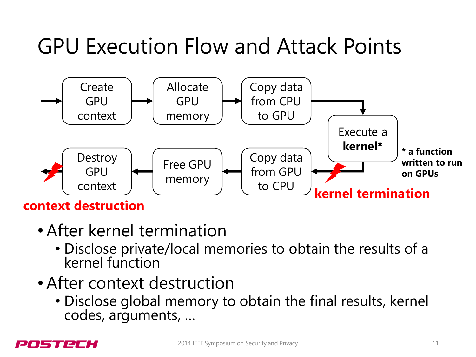## GPU Execution Flow and Attack Points



- After kernel termination
	- Disclose private/local memories to obtain the results of a kernel function
- After context destruction
	- Disclose global memory to obtain the final results, kernel codes, arguments, …

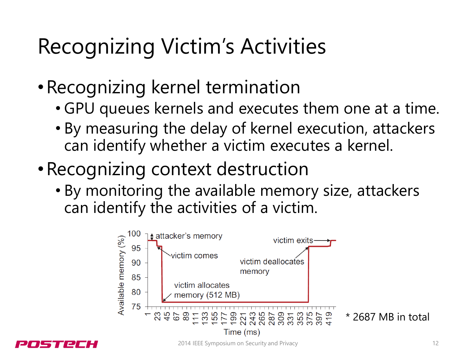### Recognizing Victim's Activities

- •Recognizing kernel termination
	- GPU queues kernels and executes them one at a time.
	- By measuring the delay of kernel execution, attackers can identify whether a victim executes a kernel.
- •Recognizing context destruction
	- By monitoring the available memory size, attackers can identify the activities of a victim.



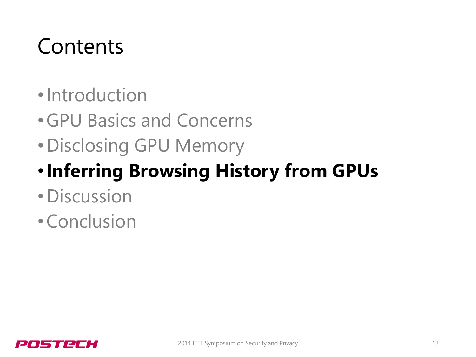#### **Contents**

- •Introduction
- •GPU Basics and Concerns
- •Disclosing GPU Memory
- •**Inferring Browsing History from GPUs**
- •Discussion
- •Conclusion

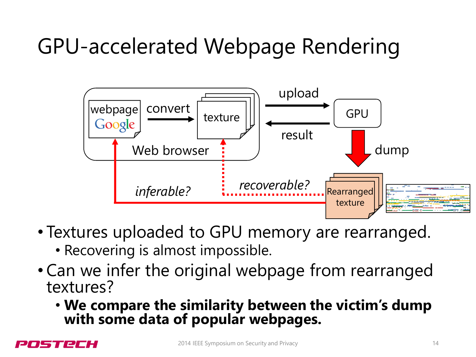## GPU-accelerated Webpage Rendering



- Textures uploaded to GPU memory are rearranged.
	- Recovering is almost impossible.
- Can we infer the original webpage from rearranged textures?
	- **We compare the similarity between the victim's dump with some data of popular webpages.**

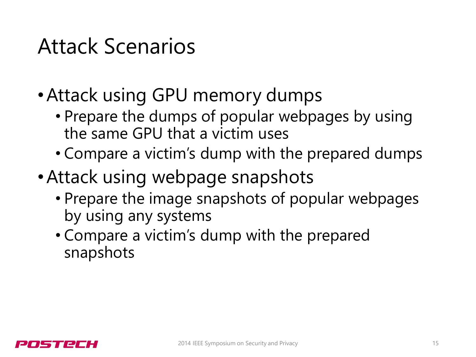#### Attack Scenarios

- •Attack using GPU memory dumps
	- Prepare the dumps of popular webpages by using the same GPU that a victim uses
	- Compare a victim's dump with the prepared dumps
- •Attack using webpage snapshots
	- Prepare the image snapshots of popular webpages by using any systems
	- Compare a victim's dump with the prepared snapshots

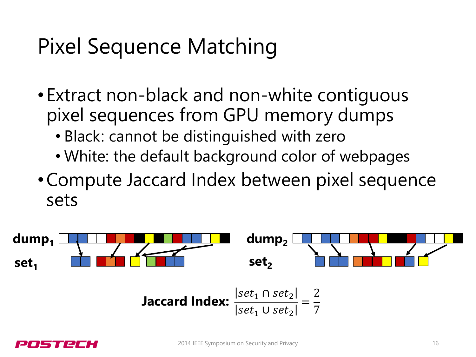## Pixel Sequence Matching

- Extract non-black and non-white contiguous pixel sequences from GPU memory dumps
	- Black: cannot be distinguished with zero
	- White: the default background color of webpages
- •Compute Jaccard Index between pixel sequence sets



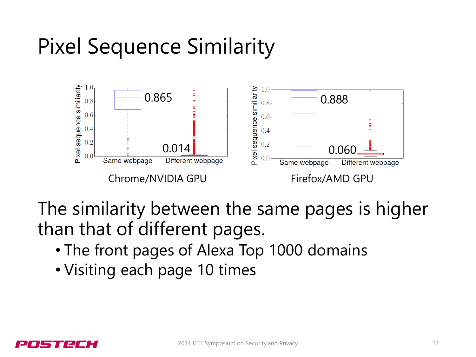# Pixel Sequence Similarity



The similarity between the same pages is higher than that of different pages.

- The front pages of Alexa Top 1000 domains
- Visiting each page 10 times

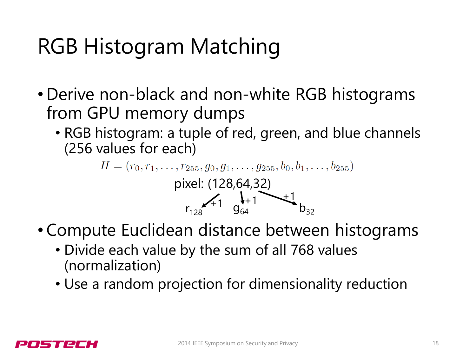#### RGB Histogram Matching

- Derive non-black and non-white RGB histograms from GPU memory dumps
	- RGB histogram: a tuple of red, green, and blue channels (256 values for each)



- Compute Euclidean distance between histograms
	- Divide each value by the sum of all 768 values (normalization)
	- Use a random projection for dimensionality reduction

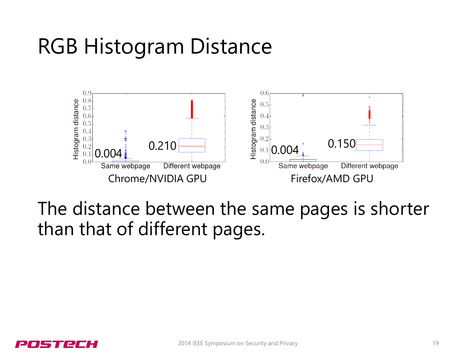#### RGB Histogram Distance



The distance between the same pages is shorter than that of different pages.

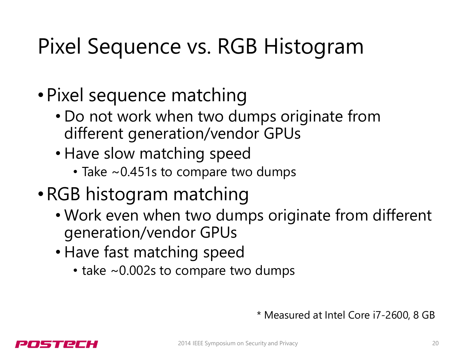# Pixel Sequence vs. RGB Histogram

- •Pixel sequence matching
	- Do not work when two dumps originate from different generation/vendor GPUs
	- Have slow matching speed
		- Take ~0.451s to compare two dumps
- •RGB histogram matching
	- Work even when two dumps originate from different generation/vendor GPUs
	- Have fast matching speed
		- take ~0.002s to compare two dumps

\* Measured at Intel Core i7-2600, 8 GB

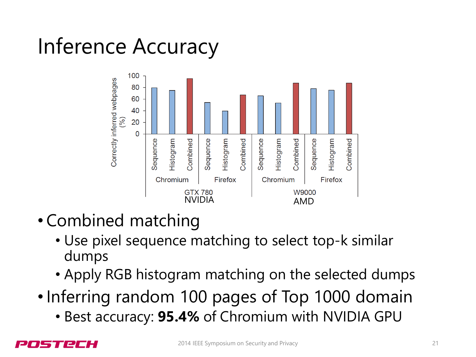# Inference Accuracy



- Combined matching
	- Use pixel sequence matching to select top-k similar dumps
	- Apply RGB histogram matching on the selected dumps
- •Inferring random 100 pages of Top 1000 domain
	- Best accuracy: **95.4%** of Chromium with NVIDIA GPU

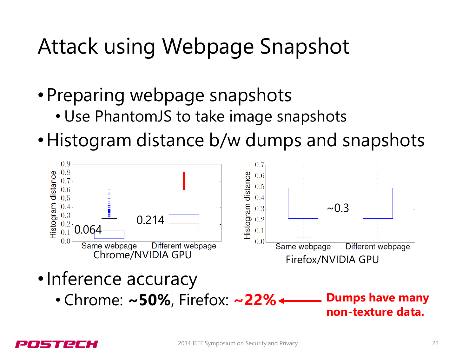#### Attack using Webpage Snapshot

- •Preparing webpage snapshots
	- Use PhantomJS to take image snapshots
- Histogram distance b/w dumps and snapshots



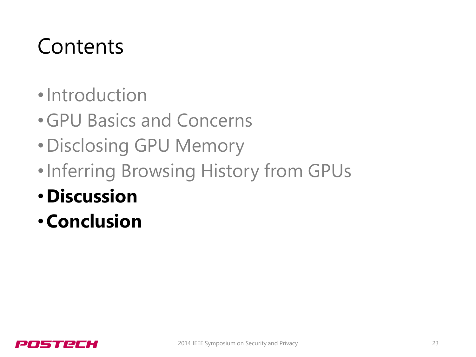#### **Contents**

- •Introduction
- •GPU Basics and Concerns
- •Disclosing GPU Memory
- •Inferring Browsing History from GPUs
- •**Discussion**
- •**Conclusion**

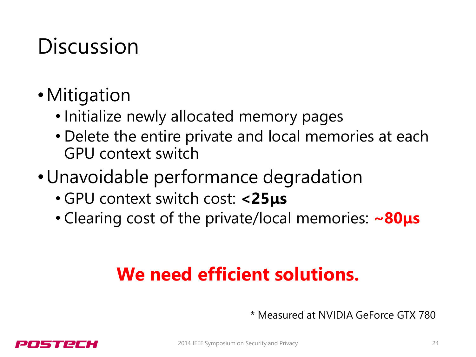## **Discussion**

- Mitigation
	- Initialize newly allocated memory pages
	- Delete the entire private and local memories at each GPU context switch
- •Unavoidable performance degradation
	- GPU context switch cost: **<25μs**
	- Clearing cost of the private/local memories: **~80μs**

#### **We need efficient solutions.**

\* Measured at NVIDIA GeForce GTX 780

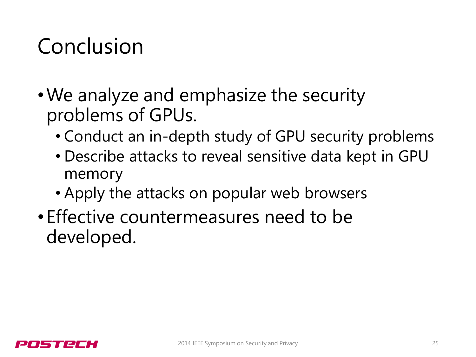## Conclusion

- We analyze and emphasize the security problems of GPUs.
	- Conduct an in-depth study of GPU security problems
	- Describe attacks to reveal sensitive data kept in GPU memory
	- Apply the attacks on popular web browsers
- Effective countermeasures need to be developed.

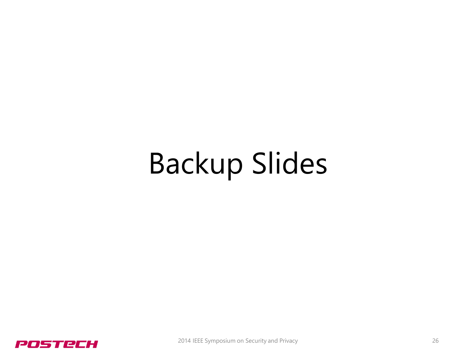# Backup Slides

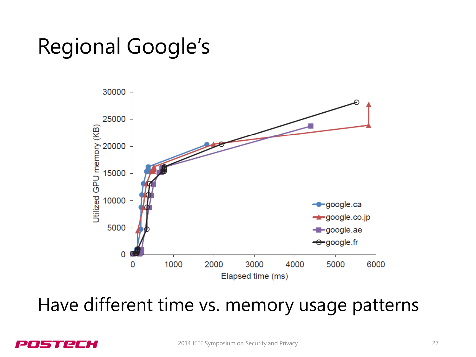#### Regional Google's



Have different time vs. memory usage patterns

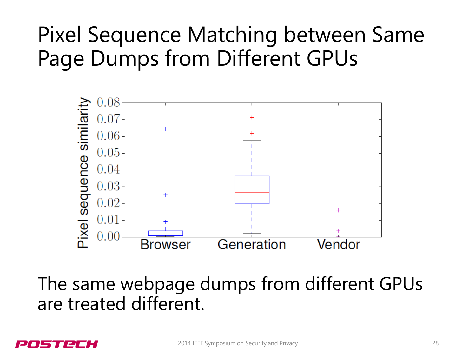#### Pixel Sequence Matching between Same Page Dumps from Different GPUs



The same webpage dumps from different GPUs are treated different.

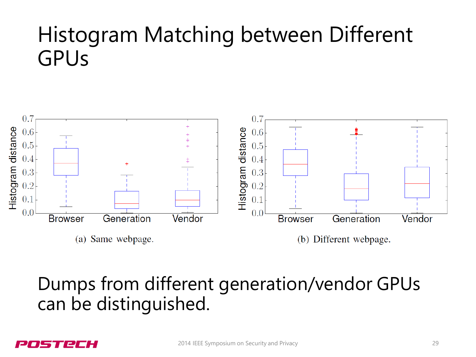#### Histogram Matching between Different GPUs



#### Dumps from different generation/vendor GPUs can be distinguished.

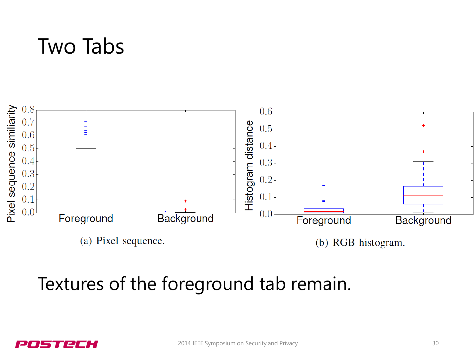#### Two Tabs



Textures of the foreground tab remain.